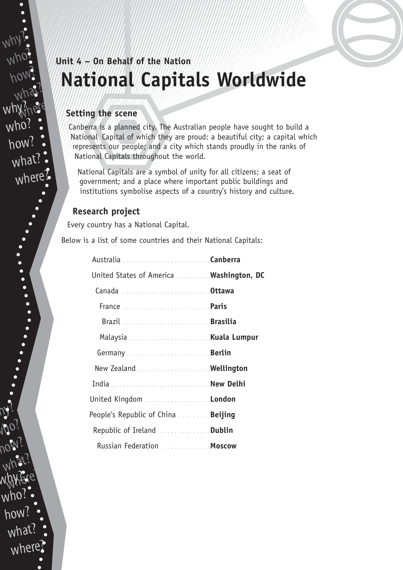# **Unit 4 – On Behalf of the Nation National Capitals Worldwide**

### **Setting the scene**

Canberra is a planned city. The Australian people have sought to build a National Capital of which they are proud: a beautiful city; a capital which represents our people; and a city which stands proudly in the ranks of National Capitals throughout the world.

National Capitals are a symbol of unity for all citizens; a seat of government; and a place where important public buildings and institutions symbolise aspects of a country's history and culture.

### **Research project**

 $N$ 

why?

who?

how?

what?

why?nere

who

how?

what?

where?

who?

how?

w.hy?

who?

how?

what

where

what?

hylere?

Every country has a National Capital.

Below is a list of some countries and their National Capitals:

| United States of America  Washington, DC  |  |
|-------------------------------------------|--|
| Canada Ottawa                             |  |
| France <b>Paris</b>                       |  |
|                                           |  |
|                                           |  |
|                                           |  |
| New Zealand  Wellington                   |  |
|                                           |  |
| United Kingdom London                     |  |
| People's Republic of China <b>Beijing</b> |  |
| Republic of Ireland Dublin                |  |
| Russian Federation  Moscow                |  |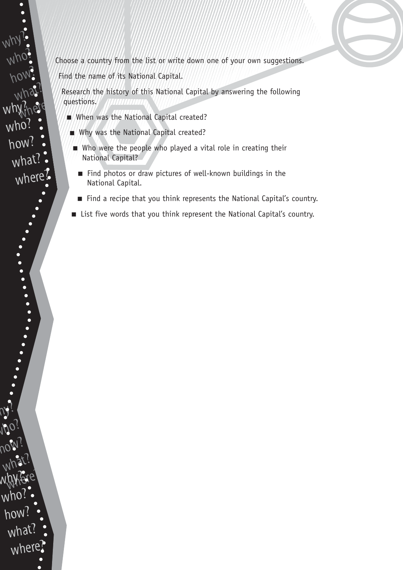Choose a country from the list or write down one of your own suggestions.

Find the name of its National Capital.

Research the history of this National Capital by answering the following questions.

- When was the National Capital created?
- Why was the National Capital created?
- Who were the people who played a vital role in creating their National Capital?
	- Find photos or draw pictures of well-known buildings in the National Capital.
	- Find a recipe that you think represents the National Capital's country.
- List five words that you think represent the National Capital's country.

who? how? what? why?nere who? how? what? where?

why?

 $N$ 

who?

how?

w.hy?

who?

how?

what

where

what?

hylere?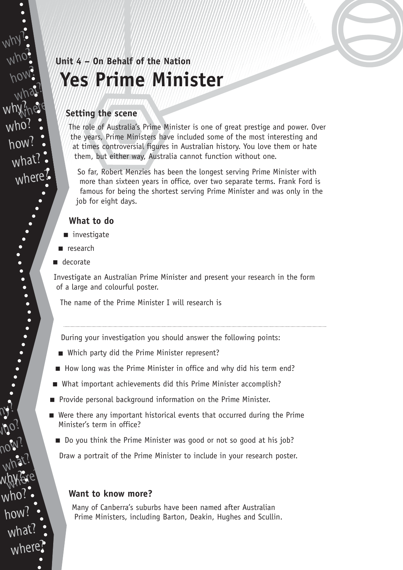## **Unit 4 – On Behalf of the Nation Yes Prime Minister**

#### **Setting the scene**

The role of Australia's Prime Minister is one of great prestige and power. Over the years, Prime Ministers have included some of the most interesting and at times controversial figures in Australian history. You love them or hate them, but either way, Australia cannot function without one.

So far, Robert Menzies has been the longest serving Prime Minister with more than sixteen years in office, over two separate terms. Frank Ford is famous for being the shortest serving Prime Minister and was only in the job for eight days.

### **What to do**

- investigate
- research
- decorate

 $N$ 

why?

who?

how?

what?

why?nere

who?

how?

what?

where?

who?

how?

w.hy?

who?

how?

what

where

what?

hylere?

Investigate an Australian Prime Minister and present your research in the form of a large and colourful poster.

The name of the Prime Minister I will research is

During your investigation you should answer the following points:

- Which party did the Prime Minister represent?
- How long was the Prime Minister in office and why did his term end?
- What important achievements did this Prime Minister accomplish?
- Provide personal background information on the Prime Minister.
- Were there any important historical events that occurred during the Prime Minister's term in office?
	- Do you think the Prime Minister was good or not so good at his job?

Draw a portrait of the Prime Minister to include in your research poster.

### **Want to know more?**

Many of Canberra's suburbs have been named after Australian Prime Ministers, including Barton, Deakin, Hughes and Scullin.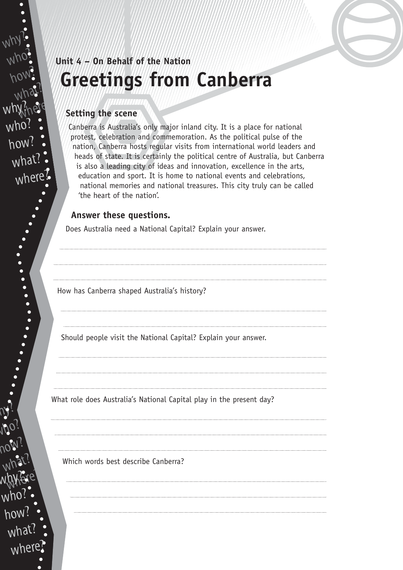## **Unit 4 – On Behalf of the Nation Greetings from Canberra**

#### **Setting the scene**

Canberra is Australia's only major inland city. It is a place for national protest, celebration and commemoration. As the political pulse of the nation, Canberra hosts regular visits from international world leaders and heads of state. It is certainly the political centre of Australia, but Canberra is also a leading city of ideas and innovation, excellence in the arts, education and sport. It is home to national events and celebrations, national memories and national treasures. This city truly can be called 'the heart of the nation'.

### **Answer these questions.**

Does Australia need a National Capital? Explain your answer.

How has Canberra shaped Australia's history?

Should people visit the National Capital? Explain your answer.

What role does Australia's National Capital play in the present day?

Which words best describe Canberra?

 $N$ 

why?

who?

how?

what?

why?nere

who?

how?

what

where

who?

how?

w.hy?

who?

how?

 $w<sub>b</sub>$ 

what?

what?

hylere?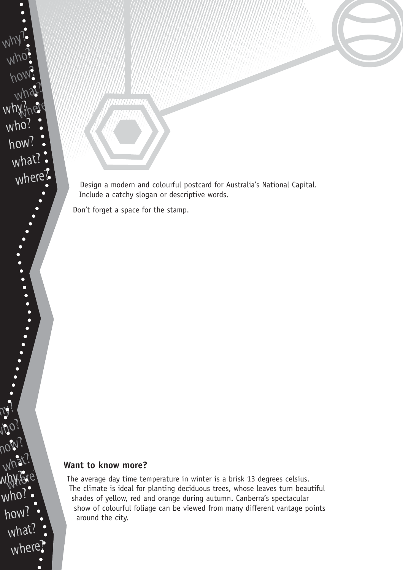Design a modern and colourful postcard for Australia's National Capital. Include a catchy slogan or descriptive words.

Don't forget a space for the stamp.

### **Want to know more?**

The average day time temperature in winter is a brisk 13 degrees celsius. The climate is ideal for planting deciduous trees, whose leaves turn beautiful shades of yellow, red and orange during autumn. Canberra's spectacular show of colourful foliage can be viewed from many different vantage points around the city.

how? what? hylere? w.hy? wh how? what? where?

 $N$ 

why?

who?

 $w$ hy?

who?

how?

what?

where?

how?

what?

who?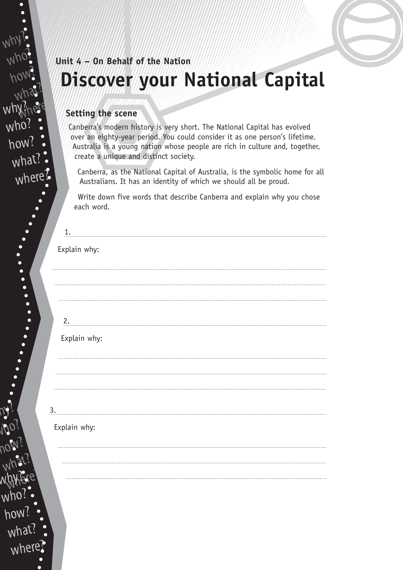# **Unit 4 – On Behalf of the Nation Discover your National Capital**

### **Setting the scene**

 $N$ 

why?

who?

how?

what?

why?nere

who

how?

what?

where?

who?

how?

w.hy?

who?

how?

what?

Canberra's modern history is very short. The National Capital has evolved over an eighty-year period. You could consider it as one person's lifetime. Australia is a young nation whose people are rich in culture and, together, create a unique and distinct society.

Canberra, as the National Capital of Australia, is the symbolic home for all Australians. It has an identity of which we should all be proud.

Write down five words that describe Canberra and explain why you chose each word.

| $\overline{1}$ .                                                                                                                                                                                                                        |              |
|-----------------------------------------------------------------------------------------------------------------------------------------------------------------------------------------------------------------------------------------|--------------|
|                                                                                                                                                                                                                                         | Explain why: |
|                                                                                                                                                                                                                                         |              |
|                                                                                                                                                                                                                                         |              |
| 2.                                                                                                                                                                                                                                      |              |
|                                                                                                                                                                                                                                         | Explain why: |
|                                                                                                                                                                                                                                         |              |
|                                                                                                                                                                                                                                         |              |
|                                                                                                                                                                                                                                         |              |
| $\overline{3}$ .                                                                                                                                                                                                                        |              |
|                                                                                                                                                                                                                                         | Explain why: |
|                                                                                                                                                                                                                                         |              |
|                                                                                                                                                                                                                                         |              |
|                                                                                                                                                                                                                                         |              |
|                                                                                                                                                                                                                                         |              |
|                                                                                                                                                                                                                                         |              |
| $\bullet$                                                                                                                                                                                                                               |              |
| what?<br>and a series of the series of the series of the series of the series of the series of the series of the series of the series of the series of the series of the series of the series of the series of the series of the series |              |
| where?                                                                                                                                                                                                                                  |              |